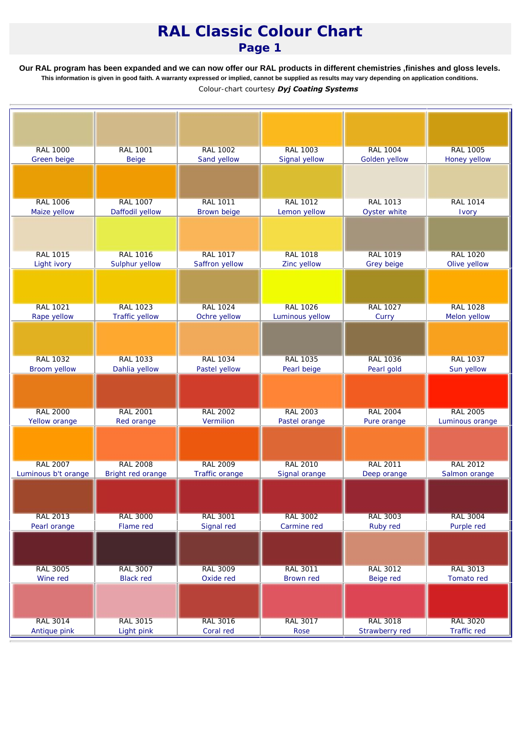## *RAL Classic Colour Chart Page 1*

**Our RAL program has been expanded and we can now offer our RAL products in different chemistries ,finishes and gloss levels. This information is given in good faith. A warranty expressed or implied, cannot be supplied as results may vary depending on application conditions.** *Colour-chart courtesy Dyj Coating Systems*

| <b>RAL 1000</b><br><b>RAL 1001</b><br><b>RAL 1002</b><br><b>RAL 1003</b><br><b>RAL 1004</b><br><b>RAL 1005</b><br>Sand yellow<br>Signal yellow<br>Golden yellow<br>Green beige<br><b>Beige</b><br>Honey yellow<br><b>RAL 1006</b><br><b>RAL 1007</b><br><b>RAL 1011</b><br><b>RAL 1012</b><br><b>RAL 1013</b><br><b>RAL 1014</b><br>Daffodil yellow<br>Brown beige<br>Maize yellow<br>Lemon yellow<br>Oyster white<br>Ivory<br><b>RAL 1015</b><br><b>RAL 1016</b><br><b>RAL 1017</b><br><b>RAL 1018</b><br><b>RAL 1019</b><br><b>RAL 1020</b><br>Saffron yellow<br>Light ivory<br>Sulphur yellow<br>Zinc yellow<br>Grey beige<br>Olive yellow<br><b>RAL 1021</b><br><b>RAL 1023</b><br><b>RAL 1024</b><br><b>RAL 1026</b><br><b>RAL 1027</b><br><b>RAL 1028</b><br>Traffic yellow<br>Rape yellow<br>Ochre yellow<br>Luminous yellow<br>Curry<br>Melon yellow<br><b>RAL 1032</b><br><b>RAL 1033</b><br><b>RAL 1034</b><br><b>RAL 1035</b><br><b>RAL 1037</b><br><b>RAL 1036</b><br><b>Broom yellow</b><br>Dahlia yellow<br>Pearl gold<br>Sun yellow<br>Pastel yellow<br>Pearl beige<br><b>RAL 2005</b><br><b>RAL 2000</b><br><b>RAL 2001</b><br><b>RAL 2002</b><br><b>RAL 2003</b><br><b>RAL 2004</b><br>Vermilion<br>Yellow orange<br>Red orange<br>Pastel orange<br>Pure orange<br>Luminous orange<br><b>RAL 2007</b><br><b>RAL 2008</b><br><b>RAL 2009</b><br><b>RAL 2010</b><br><b>RAL 2011</b><br><b>RAL 2012</b><br>Luminous b't orange<br>Bright red orange<br>Traffic orange<br>Signal orange<br>Salmon orange<br>Deep orange<br><b>RAL 2013</b><br><b>RAL 3000</b><br><b>RAL 3001</b><br><b>RAL 3003</b><br><b>RAL 3002</b><br><b>RAL 3004</b><br>Flame red<br>Pearl orange<br>Signal red<br>Carmine red<br>Ruby red<br>Purple red<br><b>RAL 3005</b><br><b>RAL 3007</b><br><b>RAL 3009</b><br><b>RAL 3011</b><br><b>RAL 3012</b><br><b>RAL 3013</b><br><b>Black red</b><br>Oxide red<br>Tomato red<br>Wine red<br>Brown red<br>Beige red<br><b>RAL 3016</b><br><b>RAL 3017</b><br><b>RAL 3018</b><br><b>RAL 3020</b><br><b>RAL 3014</b><br><b>RAL 3015</b> |              |            |           |      |                |             |
|---------------------------------------------------------------------------------------------------------------------------------------------------------------------------------------------------------------------------------------------------------------------------------------------------------------------------------------------------------------------------------------------------------------------------------------------------------------------------------------------------------------------------------------------------------------------------------------------------------------------------------------------------------------------------------------------------------------------------------------------------------------------------------------------------------------------------------------------------------------------------------------------------------------------------------------------------------------------------------------------------------------------------------------------------------------------------------------------------------------------------------------------------------------------------------------------------------------------------------------------------------------------------------------------------------------------------------------------------------------------------------------------------------------------------------------------------------------------------------------------------------------------------------------------------------------------------------------------------------------------------------------------------------------------------------------------------------------------------------------------------------------------------------------------------------------------------------------------------------------------------------------------------------------------------------------------------------------------------------------------------------------------------------------------------------------------|--------------|------------|-----------|------|----------------|-------------|
|                                                                                                                                                                                                                                                                                                                                                                                                                                                                                                                                                                                                                                                                                                                                                                                                                                                                                                                                                                                                                                                                                                                                                                                                                                                                                                                                                                                                                                                                                                                                                                                                                                                                                                                                                                                                                                                                                                                                                                                                                                                                     |              |            |           |      |                |             |
|                                                                                                                                                                                                                                                                                                                                                                                                                                                                                                                                                                                                                                                                                                                                                                                                                                                                                                                                                                                                                                                                                                                                                                                                                                                                                                                                                                                                                                                                                                                                                                                                                                                                                                                                                                                                                                                                                                                                                                                                                                                                     |              |            |           |      |                |             |
|                                                                                                                                                                                                                                                                                                                                                                                                                                                                                                                                                                                                                                                                                                                                                                                                                                                                                                                                                                                                                                                                                                                                                                                                                                                                                                                                                                                                                                                                                                                                                                                                                                                                                                                                                                                                                                                                                                                                                                                                                                                                     |              |            |           |      |                |             |
|                                                                                                                                                                                                                                                                                                                                                                                                                                                                                                                                                                                                                                                                                                                                                                                                                                                                                                                                                                                                                                                                                                                                                                                                                                                                                                                                                                                                                                                                                                                                                                                                                                                                                                                                                                                                                                                                                                                                                                                                                                                                     |              |            |           |      |                |             |
|                                                                                                                                                                                                                                                                                                                                                                                                                                                                                                                                                                                                                                                                                                                                                                                                                                                                                                                                                                                                                                                                                                                                                                                                                                                                                                                                                                                                                                                                                                                                                                                                                                                                                                                                                                                                                                                                                                                                                                                                                                                                     |              |            |           |      |                |             |
|                                                                                                                                                                                                                                                                                                                                                                                                                                                                                                                                                                                                                                                                                                                                                                                                                                                                                                                                                                                                                                                                                                                                                                                                                                                                                                                                                                                                                                                                                                                                                                                                                                                                                                                                                                                                                                                                                                                                                                                                                                                                     |              |            |           |      |                |             |
|                                                                                                                                                                                                                                                                                                                                                                                                                                                                                                                                                                                                                                                                                                                                                                                                                                                                                                                                                                                                                                                                                                                                                                                                                                                                                                                                                                                                                                                                                                                                                                                                                                                                                                                                                                                                                                                                                                                                                                                                                                                                     |              |            |           |      |                |             |
|                                                                                                                                                                                                                                                                                                                                                                                                                                                                                                                                                                                                                                                                                                                                                                                                                                                                                                                                                                                                                                                                                                                                                                                                                                                                                                                                                                                                                                                                                                                                                                                                                                                                                                                                                                                                                                                                                                                                                                                                                                                                     |              |            |           |      |                |             |
|                                                                                                                                                                                                                                                                                                                                                                                                                                                                                                                                                                                                                                                                                                                                                                                                                                                                                                                                                                                                                                                                                                                                                                                                                                                                                                                                                                                                                                                                                                                                                                                                                                                                                                                                                                                                                                                                                                                                                                                                                                                                     |              |            |           |      |                |             |
|                                                                                                                                                                                                                                                                                                                                                                                                                                                                                                                                                                                                                                                                                                                                                                                                                                                                                                                                                                                                                                                                                                                                                                                                                                                                                                                                                                                                                                                                                                                                                                                                                                                                                                                                                                                                                                                                                                                                                                                                                                                                     |              |            |           |      |                |             |
|                                                                                                                                                                                                                                                                                                                                                                                                                                                                                                                                                                                                                                                                                                                                                                                                                                                                                                                                                                                                                                                                                                                                                                                                                                                                                                                                                                                                                                                                                                                                                                                                                                                                                                                                                                                                                                                                                                                                                                                                                                                                     |              |            |           |      |                |             |
|                                                                                                                                                                                                                                                                                                                                                                                                                                                                                                                                                                                                                                                                                                                                                                                                                                                                                                                                                                                                                                                                                                                                                                                                                                                                                                                                                                                                                                                                                                                                                                                                                                                                                                                                                                                                                                                                                                                                                                                                                                                                     |              |            |           |      |                |             |
|                                                                                                                                                                                                                                                                                                                                                                                                                                                                                                                                                                                                                                                                                                                                                                                                                                                                                                                                                                                                                                                                                                                                                                                                                                                                                                                                                                                                                                                                                                                                                                                                                                                                                                                                                                                                                                                                                                                                                                                                                                                                     |              |            |           |      |                |             |
|                                                                                                                                                                                                                                                                                                                                                                                                                                                                                                                                                                                                                                                                                                                                                                                                                                                                                                                                                                                                                                                                                                                                                                                                                                                                                                                                                                                                                                                                                                                                                                                                                                                                                                                                                                                                                                                                                                                                                                                                                                                                     |              |            |           |      |                |             |
|                                                                                                                                                                                                                                                                                                                                                                                                                                                                                                                                                                                                                                                                                                                                                                                                                                                                                                                                                                                                                                                                                                                                                                                                                                                                                                                                                                                                                                                                                                                                                                                                                                                                                                                                                                                                                                                                                                                                                                                                                                                                     |              |            |           |      |                |             |
|                                                                                                                                                                                                                                                                                                                                                                                                                                                                                                                                                                                                                                                                                                                                                                                                                                                                                                                                                                                                                                                                                                                                                                                                                                                                                                                                                                                                                                                                                                                                                                                                                                                                                                                                                                                                                                                                                                                                                                                                                                                                     |              |            |           |      |                |             |
|                                                                                                                                                                                                                                                                                                                                                                                                                                                                                                                                                                                                                                                                                                                                                                                                                                                                                                                                                                                                                                                                                                                                                                                                                                                                                                                                                                                                                                                                                                                                                                                                                                                                                                                                                                                                                                                                                                                                                                                                                                                                     |              |            |           |      |                |             |
|                                                                                                                                                                                                                                                                                                                                                                                                                                                                                                                                                                                                                                                                                                                                                                                                                                                                                                                                                                                                                                                                                                                                                                                                                                                                                                                                                                                                                                                                                                                                                                                                                                                                                                                                                                                                                                                                                                                                                                                                                                                                     |              |            |           |      |                |             |
|                                                                                                                                                                                                                                                                                                                                                                                                                                                                                                                                                                                                                                                                                                                                                                                                                                                                                                                                                                                                                                                                                                                                                                                                                                                                                                                                                                                                                                                                                                                                                                                                                                                                                                                                                                                                                                                                                                                                                                                                                                                                     |              |            |           |      |                |             |
|                                                                                                                                                                                                                                                                                                                                                                                                                                                                                                                                                                                                                                                                                                                                                                                                                                                                                                                                                                                                                                                                                                                                                                                                                                                                                                                                                                                                                                                                                                                                                                                                                                                                                                                                                                                                                                                                                                                                                                                                                                                                     |              |            |           |      |                |             |
|                                                                                                                                                                                                                                                                                                                                                                                                                                                                                                                                                                                                                                                                                                                                                                                                                                                                                                                                                                                                                                                                                                                                                                                                                                                                                                                                                                                                                                                                                                                                                                                                                                                                                                                                                                                                                                                                                                                                                                                                                                                                     |              |            |           |      |                |             |
|                                                                                                                                                                                                                                                                                                                                                                                                                                                                                                                                                                                                                                                                                                                                                                                                                                                                                                                                                                                                                                                                                                                                                                                                                                                                                                                                                                                                                                                                                                                                                                                                                                                                                                                                                                                                                                                                                                                                                                                                                                                                     |              |            |           |      |                |             |
|                                                                                                                                                                                                                                                                                                                                                                                                                                                                                                                                                                                                                                                                                                                                                                                                                                                                                                                                                                                                                                                                                                                                                                                                                                                                                                                                                                                                                                                                                                                                                                                                                                                                                                                                                                                                                                                                                                                                                                                                                                                                     |              |            |           |      |                |             |
|                                                                                                                                                                                                                                                                                                                                                                                                                                                                                                                                                                                                                                                                                                                                                                                                                                                                                                                                                                                                                                                                                                                                                                                                                                                                                                                                                                                                                                                                                                                                                                                                                                                                                                                                                                                                                                                                                                                                                                                                                                                                     |              |            |           |      |                |             |
|                                                                                                                                                                                                                                                                                                                                                                                                                                                                                                                                                                                                                                                                                                                                                                                                                                                                                                                                                                                                                                                                                                                                                                                                                                                                                                                                                                                                                                                                                                                                                                                                                                                                                                                                                                                                                                                                                                                                                                                                                                                                     |              |            |           |      |                |             |
|                                                                                                                                                                                                                                                                                                                                                                                                                                                                                                                                                                                                                                                                                                                                                                                                                                                                                                                                                                                                                                                                                                                                                                                                                                                                                                                                                                                                                                                                                                                                                                                                                                                                                                                                                                                                                                                                                                                                                                                                                                                                     |              |            |           |      |                |             |
|                                                                                                                                                                                                                                                                                                                                                                                                                                                                                                                                                                                                                                                                                                                                                                                                                                                                                                                                                                                                                                                                                                                                                                                                                                                                                                                                                                                                                                                                                                                                                                                                                                                                                                                                                                                                                                                                                                                                                                                                                                                                     |              |            |           |      |                |             |
|                                                                                                                                                                                                                                                                                                                                                                                                                                                                                                                                                                                                                                                                                                                                                                                                                                                                                                                                                                                                                                                                                                                                                                                                                                                                                                                                                                                                                                                                                                                                                                                                                                                                                                                                                                                                                                                                                                                                                                                                                                                                     |              |            |           |      |                |             |
|                                                                                                                                                                                                                                                                                                                                                                                                                                                                                                                                                                                                                                                                                                                                                                                                                                                                                                                                                                                                                                                                                                                                                                                                                                                                                                                                                                                                                                                                                                                                                                                                                                                                                                                                                                                                                                                                                                                                                                                                                                                                     |              |            |           |      |                |             |
|                                                                                                                                                                                                                                                                                                                                                                                                                                                                                                                                                                                                                                                                                                                                                                                                                                                                                                                                                                                                                                                                                                                                                                                                                                                                                                                                                                                                                                                                                                                                                                                                                                                                                                                                                                                                                                                                                                                                                                                                                                                                     |              |            |           |      |                |             |
|                                                                                                                                                                                                                                                                                                                                                                                                                                                                                                                                                                                                                                                                                                                                                                                                                                                                                                                                                                                                                                                                                                                                                                                                                                                                                                                                                                                                                                                                                                                                                                                                                                                                                                                                                                                                                                                                                                                                                                                                                                                                     |              |            |           |      |                |             |
|                                                                                                                                                                                                                                                                                                                                                                                                                                                                                                                                                                                                                                                                                                                                                                                                                                                                                                                                                                                                                                                                                                                                                                                                                                                                                                                                                                                                                                                                                                                                                                                                                                                                                                                                                                                                                                                                                                                                                                                                                                                                     |              |            |           |      |                |             |
|                                                                                                                                                                                                                                                                                                                                                                                                                                                                                                                                                                                                                                                                                                                                                                                                                                                                                                                                                                                                                                                                                                                                                                                                                                                                                                                                                                                                                                                                                                                                                                                                                                                                                                                                                                                                                                                                                                                                                                                                                                                                     |              |            |           |      |                |             |
|                                                                                                                                                                                                                                                                                                                                                                                                                                                                                                                                                                                                                                                                                                                                                                                                                                                                                                                                                                                                                                                                                                                                                                                                                                                                                                                                                                                                                                                                                                                                                                                                                                                                                                                                                                                                                                                                                                                                                                                                                                                                     |              |            |           |      |                |             |
|                                                                                                                                                                                                                                                                                                                                                                                                                                                                                                                                                                                                                                                                                                                                                                                                                                                                                                                                                                                                                                                                                                                                                                                                                                                                                                                                                                                                                                                                                                                                                                                                                                                                                                                                                                                                                                                                                                                                                                                                                                                                     |              |            |           |      |                |             |
|                                                                                                                                                                                                                                                                                                                                                                                                                                                                                                                                                                                                                                                                                                                                                                                                                                                                                                                                                                                                                                                                                                                                                                                                                                                                                                                                                                                                                                                                                                                                                                                                                                                                                                                                                                                                                                                                                                                                                                                                                                                                     |              |            |           |      |                |             |
|                                                                                                                                                                                                                                                                                                                                                                                                                                                                                                                                                                                                                                                                                                                                                                                                                                                                                                                                                                                                                                                                                                                                                                                                                                                                                                                                                                                                                                                                                                                                                                                                                                                                                                                                                                                                                                                                                                                                                                                                                                                                     |              |            |           |      |                |             |
|                                                                                                                                                                                                                                                                                                                                                                                                                                                                                                                                                                                                                                                                                                                                                                                                                                                                                                                                                                                                                                                                                                                                                                                                                                                                                                                                                                                                                                                                                                                                                                                                                                                                                                                                                                                                                                                                                                                                                                                                                                                                     |              |            |           |      |                |             |
|                                                                                                                                                                                                                                                                                                                                                                                                                                                                                                                                                                                                                                                                                                                                                                                                                                                                                                                                                                                                                                                                                                                                                                                                                                                                                                                                                                                                                                                                                                                                                                                                                                                                                                                                                                                                                                                                                                                                                                                                                                                                     |              |            |           |      |                |             |
|                                                                                                                                                                                                                                                                                                                                                                                                                                                                                                                                                                                                                                                                                                                                                                                                                                                                                                                                                                                                                                                                                                                                                                                                                                                                                                                                                                                                                                                                                                                                                                                                                                                                                                                                                                                                                                                                                                                                                                                                                                                                     |              |            |           |      |                |             |
|                                                                                                                                                                                                                                                                                                                                                                                                                                                                                                                                                                                                                                                                                                                                                                                                                                                                                                                                                                                                                                                                                                                                                                                                                                                                                                                                                                                                                                                                                                                                                                                                                                                                                                                                                                                                                                                                                                                                                                                                                                                                     |              |            |           |      |                |             |
|                                                                                                                                                                                                                                                                                                                                                                                                                                                                                                                                                                                                                                                                                                                                                                                                                                                                                                                                                                                                                                                                                                                                                                                                                                                                                                                                                                                                                                                                                                                                                                                                                                                                                                                                                                                                                                                                                                                                                                                                                                                                     |              |            |           |      |                |             |
|                                                                                                                                                                                                                                                                                                                                                                                                                                                                                                                                                                                                                                                                                                                                                                                                                                                                                                                                                                                                                                                                                                                                                                                                                                                                                                                                                                                                                                                                                                                                                                                                                                                                                                                                                                                                                                                                                                                                                                                                                                                                     |              |            |           |      |                |             |
|                                                                                                                                                                                                                                                                                                                                                                                                                                                                                                                                                                                                                                                                                                                                                                                                                                                                                                                                                                                                                                                                                                                                                                                                                                                                                                                                                                                                                                                                                                                                                                                                                                                                                                                                                                                                                                                                                                                                                                                                                                                                     |              |            |           |      |                |             |
|                                                                                                                                                                                                                                                                                                                                                                                                                                                                                                                                                                                                                                                                                                                                                                                                                                                                                                                                                                                                                                                                                                                                                                                                                                                                                                                                                                                                                                                                                                                                                                                                                                                                                                                                                                                                                                                                                                                                                                                                                                                                     |              |            |           |      |                |             |
|                                                                                                                                                                                                                                                                                                                                                                                                                                                                                                                                                                                                                                                                                                                                                                                                                                                                                                                                                                                                                                                                                                                                                                                                                                                                                                                                                                                                                                                                                                                                                                                                                                                                                                                                                                                                                                                                                                                                                                                                                                                                     |              |            |           |      |                |             |
|                                                                                                                                                                                                                                                                                                                                                                                                                                                                                                                                                                                                                                                                                                                                                                                                                                                                                                                                                                                                                                                                                                                                                                                                                                                                                                                                                                                                                                                                                                                                                                                                                                                                                                                                                                                                                                                                                                                                                                                                                                                                     |              |            |           |      |                |             |
|                                                                                                                                                                                                                                                                                                                                                                                                                                                                                                                                                                                                                                                                                                                                                                                                                                                                                                                                                                                                                                                                                                                                                                                                                                                                                                                                                                                                                                                                                                                                                                                                                                                                                                                                                                                                                                                                                                                                                                                                                                                                     |              |            |           |      |                |             |
|                                                                                                                                                                                                                                                                                                                                                                                                                                                                                                                                                                                                                                                                                                                                                                                                                                                                                                                                                                                                                                                                                                                                                                                                                                                                                                                                                                                                                                                                                                                                                                                                                                                                                                                                                                                                                                                                                                                                                                                                                                                                     |              |            |           |      |                |             |
|                                                                                                                                                                                                                                                                                                                                                                                                                                                                                                                                                                                                                                                                                                                                                                                                                                                                                                                                                                                                                                                                                                                                                                                                                                                                                                                                                                                                                                                                                                                                                                                                                                                                                                                                                                                                                                                                                                                                                                                                                                                                     |              |            |           |      |                |             |
|                                                                                                                                                                                                                                                                                                                                                                                                                                                                                                                                                                                                                                                                                                                                                                                                                                                                                                                                                                                                                                                                                                                                                                                                                                                                                                                                                                                                                                                                                                                                                                                                                                                                                                                                                                                                                                                                                                                                                                                                                                                                     |              |            |           |      |                |             |
|                                                                                                                                                                                                                                                                                                                                                                                                                                                                                                                                                                                                                                                                                                                                                                                                                                                                                                                                                                                                                                                                                                                                                                                                                                                                                                                                                                                                                                                                                                                                                                                                                                                                                                                                                                                                                                                                                                                                                                                                                                                                     |              |            |           |      |                |             |
|                                                                                                                                                                                                                                                                                                                                                                                                                                                                                                                                                                                                                                                                                                                                                                                                                                                                                                                                                                                                                                                                                                                                                                                                                                                                                                                                                                                                                                                                                                                                                                                                                                                                                                                                                                                                                                                                                                                                                                                                                                                                     |              |            |           |      |                |             |
|                                                                                                                                                                                                                                                                                                                                                                                                                                                                                                                                                                                                                                                                                                                                                                                                                                                                                                                                                                                                                                                                                                                                                                                                                                                                                                                                                                                                                                                                                                                                                                                                                                                                                                                                                                                                                                                                                                                                                                                                                                                                     |              |            |           |      |                |             |
|                                                                                                                                                                                                                                                                                                                                                                                                                                                                                                                                                                                                                                                                                                                                                                                                                                                                                                                                                                                                                                                                                                                                                                                                                                                                                                                                                                                                                                                                                                                                                                                                                                                                                                                                                                                                                                                                                                                                                                                                                                                                     |              |            |           |      |                |             |
|                                                                                                                                                                                                                                                                                                                                                                                                                                                                                                                                                                                                                                                                                                                                                                                                                                                                                                                                                                                                                                                                                                                                                                                                                                                                                                                                                                                                                                                                                                                                                                                                                                                                                                                                                                                                                                                                                                                                                                                                                                                                     |              |            |           |      |                |             |
|                                                                                                                                                                                                                                                                                                                                                                                                                                                                                                                                                                                                                                                                                                                                                                                                                                                                                                                                                                                                                                                                                                                                                                                                                                                                                                                                                                                                                                                                                                                                                                                                                                                                                                                                                                                                                                                                                                                                                                                                                                                                     |              |            |           |      |                |             |
|                                                                                                                                                                                                                                                                                                                                                                                                                                                                                                                                                                                                                                                                                                                                                                                                                                                                                                                                                                                                                                                                                                                                                                                                                                                                                                                                                                                                                                                                                                                                                                                                                                                                                                                                                                                                                                                                                                                                                                                                                                                                     |              |            |           |      |                |             |
|                                                                                                                                                                                                                                                                                                                                                                                                                                                                                                                                                                                                                                                                                                                                                                                                                                                                                                                                                                                                                                                                                                                                                                                                                                                                                                                                                                                                                                                                                                                                                                                                                                                                                                                                                                                                                                                                                                                                                                                                                                                                     |              |            |           |      |                |             |
|                                                                                                                                                                                                                                                                                                                                                                                                                                                                                                                                                                                                                                                                                                                                                                                                                                                                                                                                                                                                                                                                                                                                                                                                                                                                                                                                                                                                                                                                                                                                                                                                                                                                                                                                                                                                                                                                                                                                                                                                                                                                     |              |            |           |      |                |             |
|                                                                                                                                                                                                                                                                                                                                                                                                                                                                                                                                                                                                                                                                                                                                                                                                                                                                                                                                                                                                                                                                                                                                                                                                                                                                                                                                                                                                                                                                                                                                                                                                                                                                                                                                                                                                                                                                                                                                                                                                                                                                     |              |            |           |      |                |             |
|                                                                                                                                                                                                                                                                                                                                                                                                                                                                                                                                                                                                                                                                                                                                                                                                                                                                                                                                                                                                                                                                                                                                                                                                                                                                                                                                                                                                                                                                                                                                                                                                                                                                                                                                                                                                                                                                                                                                                                                                                                                                     | Antique pink | Light pink | Coral red | Rose | Strawberry red | Traffic red |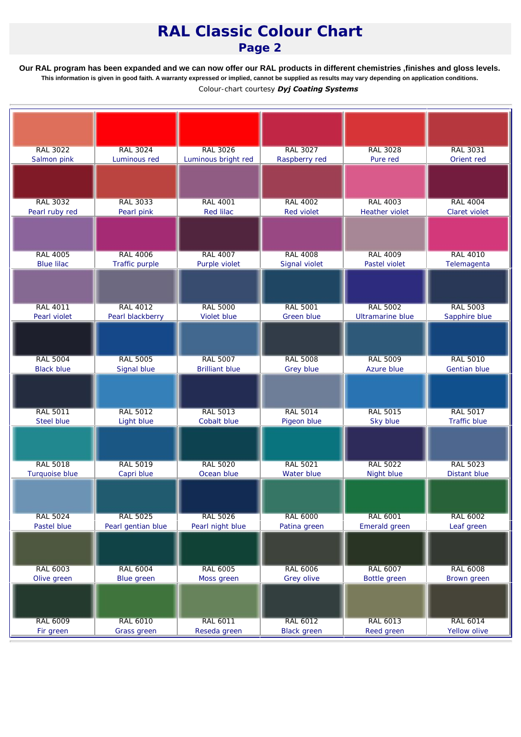## *RAL Classic Colour Chart Page 2*

**Our RAL program has been expanded and we can now offer our RAL products in different chemistries ,finishes and gloss levels. This information is given in good faith. A warranty expressed or implied, cannot be supplied as results may vary depending on application conditions.** *Colour-chart courtesy Dyj Coating Systems*

| <b>RAL 3022</b>   | <b>RAL 3024</b>    | <b>RAL 3026</b>       | <b>RAL 3027</b>    | <b>RAL 3028</b>       | <b>RAL 3031</b> |
|-------------------|--------------------|-----------------------|--------------------|-----------------------|-----------------|
| Salmon pink       | Luminous red       | Luminous bright red   | Raspberry red      | Pure red              | Orient red      |
|                   |                    |                       |                    |                       |                 |
|                   |                    |                       |                    |                       |                 |
|                   |                    |                       |                    |                       |                 |
| <b>RAL 3032</b>   | <b>RAL 3033</b>    | <b>RAL 4001</b>       | <b>RAL 4002</b>    | <b>RAL 4003</b>       | <b>RAL 4004</b> |
| Pearl ruby red    | Pearl pink         | <b>Red lilac</b>      | <b>Red violet</b>  | <b>Heather violet</b> | Claret violet   |
|                   |                    |                       |                    |                       |                 |
|                   |                    |                       |                    |                       |                 |
|                   |                    |                       |                    |                       |                 |
| <b>RAL 4005</b>   | <b>RAL 4006</b>    | <b>RAL 4007</b>       | <b>RAL 4008</b>    | <b>RAL 4009</b>       | <b>RAL 4010</b> |
| <b>Blue lilac</b> | Traffic purple     | Purple violet         | Signal violet      | Pastel violet         | Telemagenta     |
|                   |                    |                       |                    |                       |                 |
|                   |                    |                       |                    |                       |                 |
|                   |                    |                       |                    |                       |                 |
| <b>RAL 4011</b>   | <b>RAL 4012</b>    | <b>RAL 5000</b>       | <b>RAL 5001</b>    | <b>RAL 5002</b>       | <b>RAL 5003</b> |
| Pearl violet      | Pearl blackberry   | Violet blue           | Green blue         | Ultramarine blue      | Sapphire blue   |
|                   |                    |                       |                    |                       |                 |
|                   |                    |                       |                    |                       |                 |
|                   |                    |                       |                    |                       |                 |
|                   |                    |                       |                    |                       |                 |
| <b>RAL 5004</b>   | <b>RAL 5005</b>    | <b>RAL 5007</b>       | <b>RAL 5008</b>    | <b>RAL 5009</b>       | <b>RAL 5010</b> |
| <b>Black blue</b> | Signal blue        | <b>Brilliant blue</b> | <b>Grey blue</b>   | Azure blue            | Gentian blue    |
|                   |                    |                       |                    |                       |                 |
|                   |                    |                       |                    |                       |                 |
|                   |                    |                       |                    |                       |                 |
| <b>RAL 5011</b>   | <b>RAL 5012</b>    | <b>RAL 5013</b>       | <b>RAL 5014</b>    | <b>RAL 5015</b>       | <b>RAL 5017</b> |
| Steel blue        | Light blue         | Cobalt blue           | Pigeon blue        | Sky blue              | Traffic blue    |
|                   |                    |                       |                    |                       |                 |
|                   |                    |                       |                    |                       |                 |
|                   |                    |                       |                    |                       |                 |
| <b>RAL 5018</b>   | <b>RAL 5019</b>    | <b>RAL 5020</b>       | <b>RAL 5021</b>    | <b>RAL 5022</b>       | <b>RAL 5023</b> |
| Turquoise blue    | Capri blue         | Ocean blue            | Water blue         | Night blue            | Distant blue    |
|                   |                    |                       |                    |                       |                 |
|                   |                    |                       |                    |                       |                 |
|                   |                    |                       |                    |                       |                 |
| <b>RAL 5024</b>   | <b>RAL 5025</b>    | <b>RAL 5026</b>       | <b>RAL 6000</b>    | <b>RAL 6001</b>       | <b>RAL 6002</b> |
| Pastel blue       | Pearl gentian blue | Pearl night blue      | Patina green       | Emerald green         | Leaf green      |
|                   |                    |                       |                    |                       |                 |
|                   |                    |                       |                    |                       |                 |
|                   |                    |                       |                    |                       |                 |
| <b>RAL 6003</b>   | <b>RAL 6004</b>    | <b>RAL 6005</b>       | <b>RAL 6006</b>    | RAL 6007              | <b>RAL 6008</b> |
| Olive green       | Blue green         | Moss green            | Grey olive         | Bottle green          | Brown green     |
|                   |                    |                       |                    |                       |                 |
|                   |                    |                       |                    |                       |                 |
|                   |                    |                       |                    |                       |                 |
| RAL 6009          | <b>RAL 6010</b>    | RAL 6011              | RAL 6012           | RAL 6013              | <b>RAL 6014</b> |
| Fir green         | Grass green        | Reseda green          | <b>Black</b> green | Reed green            | Yellow olive    |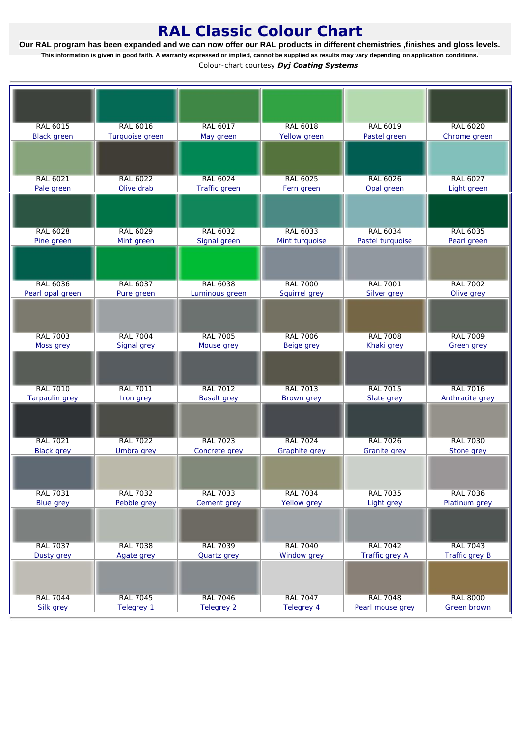## *RAL Classic Colour Chart*

**Our RAL program has been expanded and we can now offer our RAL products in different chemistries ,finishes and gloss levels. This information is given in good faith. A warranty expressed or implied, cannot be supplied as results may vary depending on application conditions.** *Colour-chart courtesy Dyj Coating Systems*

| RAL 6015              | <b>RAL 6016</b>   | <b>RAL 6017</b>    | <b>RAL 6018</b> | <b>RAL 6019</b>     | <b>RAL 6020</b> |
|-----------------------|-------------------|--------------------|-----------------|---------------------|-----------------|
| <b>Black</b> green    | Turquoise green   | May green          | Yellow green    | Pastel green        | Chrome green    |
|                       |                   |                    |                 |                     |                 |
|                       |                   |                    |                 |                     |                 |
|                       |                   |                    |                 |                     |                 |
| <b>RAL 6021</b>       | <b>RAL 6022</b>   | <b>RAL 6024</b>    | <b>RAL 6025</b> | <b>RAL 6026</b>     | RAL 6027        |
| Pale green            | Olive drab        | Traffic green      | Fern green      | Opal green          | Light green     |
|                       |                   |                    |                 |                     |                 |
|                       |                   |                    |                 |                     |                 |
|                       |                   |                    |                 |                     |                 |
| <b>RAL 6028</b>       | <b>RAL 6029</b>   | <b>RAL 6032</b>    | <b>RAL 6033</b> | <b>RAL 6034</b>     | <b>RAL 6035</b> |
| Pine green            | Mint green        | Signal green       | Mint turquoise  | Pastel turquoise    | Pearl green     |
|                       |                   |                    |                 |                     |                 |
|                       |                   |                    |                 |                     |                 |
|                       |                   |                    |                 |                     |                 |
| <b>RAL 6036</b>       | <b>RAL 6037</b>   | <b>RAL 6038</b>    | <b>RAL 7000</b> | <b>RAL 7001</b>     | <b>RAL 7002</b> |
| Pearl opal green      | Pure green        | Luminous green     | Squirrel grey   | Silver grey         | Olive grey      |
|                       |                   |                    |                 |                     |                 |
|                       |                   |                    |                 |                     |                 |
|                       |                   |                    |                 |                     |                 |
| <b>RAL 7003</b>       | <b>RAL 7004</b>   | <b>RAL 7005</b>    | <b>RAL 7006</b> | <b>RAL 7008</b>     | <b>RAL 7009</b> |
| Moss grey             | Signal grey       | Mouse grey         | Beige grey      | Khaki grey          | Green grey      |
|                       |                   |                    |                 |                     |                 |
|                       |                   |                    |                 |                     |                 |
|                       |                   |                    |                 |                     |                 |
| <b>RAL 7010</b>       | <b>RAL 7011</b>   | <b>RAL 7012</b>    | <b>RAL 7013</b> | <b>RAL 7015</b>     | <b>RAL 7016</b> |
| <b>Tarpaulin</b> grey | Iron grey         | <b>Basalt grey</b> | Brown grey      | Slate grey          | Anthracite grey |
|                       |                   |                    |                 |                     |                 |
|                       |                   |                    |                 |                     |                 |
|                       |                   |                    |                 |                     |                 |
| <b>RAL 7021</b>       | <b>RAL 7022</b>   | <b>RAL 7023</b>    | <b>RAL 7024</b> | <b>RAL 7026</b>     | <b>RAL 7030</b> |
| <b>Black</b> grey     | Umbra grey        | Concrete grey      | Graphite grey   | <b>Granite</b> grey | Stone grey      |
|                       |                   |                    |                 |                     |                 |
|                       |                   |                    |                 |                     |                 |
|                       |                   |                    |                 |                     |                 |
| <b>RAL 7031</b>       | <b>RAL 7032</b>   | <b>RAL 7033</b>    | <b>RAL 7034</b> | <b>RAL 7035</b>     | <b>RAL 7036</b> |
| <b>Blue grey</b>      | Pebble grey       | Cement grey        | Yellow grey     | Light grey          | Platinum grey   |
|                       |                   |                    |                 |                     |                 |
|                       |                   |                    |                 |                     |                 |
|                       |                   |                    |                 |                     |                 |
| <b>RAL 7037</b>       | <b>RAL 7038</b>   | <b>RAL 7039</b>    | <b>RAL 7040</b> | <b>RAL 7042</b>     | <b>RAL 7043</b> |
| Dusty grey            | Agate grey        | Quartz grey        | Window grey     | Traffic grey A      | Traffic grey B  |
|                       |                   |                    |                 |                     |                 |
|                       |                   |                    |                 |                     |                 |
| <b>RAL 7044</b>       | <b>RAL 7045</b>   | <b>RAL 7046</b>    | <b>RAL 7047</b> | <b>RAL 7048</b>     | <b>RAL 8000</b> |
| Silk grey             | <b>Telegrey 1</b> | <b>Telegrey 2</b>  | Telegrey 4      | Pearl mouse grey    | Green brown     |
|                       |                   |                    |                 |                     |                 |